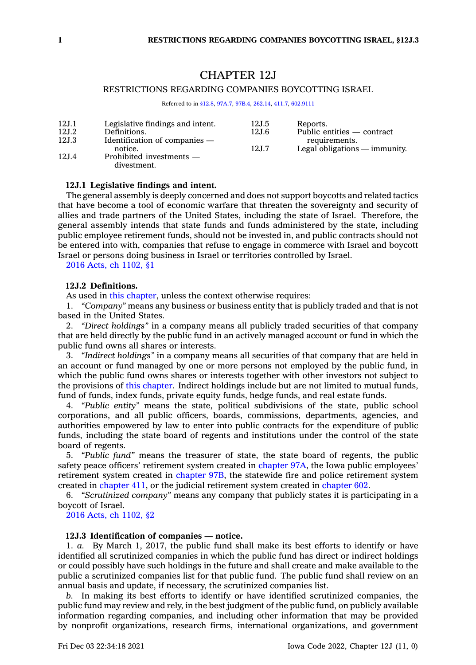# CHAPTER 12J

## RESTRICTIONS REGARDING COMPANIES BOYCOTTING ISRAEL

Referred to in [§12.8](https://www.legis.iowa.gov/docs/code/12.8.pdf), [97A.7](https://www.legis.iowa.gov/docs/code/97A.7.pdf), [97B.4](https://www.legis.iowa.gov/docs/code/97B.4.pdf), [262.14](https://www.legis.iowa.gov/docs/code/262.14.pdf), [411.7](https://www.legis.iowa.gov/docs/code/411.7.pdf), [602.9111](https://www.legis.iowa.gov/docs/code/602.9111.pdf)

| 12J.1  | Legislative findings and intent. | 12J.5 | Reports.                        |
|--------|----------------------------------|-------|---------------------------------|
| 12J.2  | Definitions.                     | 12J.6 | Public entities — contract      |
| 12J.3  | Identification of companies $-$  |       | requirements.                   |
|        | notice.                          | 12J.7 | Legal obligations $-$ immunity. |
| 12.1.4 | Prohibited investments —         |       |                                 |
|        | divestment.                      |       |                                 |

## **12J.1 Legislative findings and intent.**

The general assembly is deeply concerned and does not support boycotts and related tactics that have become <sup>a</sup> tool of economic warfare that threaten the sovereignty and security of allies and trade partners of the United States, including the state of Israel. Therefore, the general assembly intends that state funds and funds administered by the state, including public employee retirement funds, should not be invested in, and public contracts should not be entered into with, companies that refuse to engage in commerce with Israel and boycott Israel or persons doing business in Israel or territories controlled by Israel.

<sup>2016</sup> Acts, ch [1102,](https://www.legis.iowa.gov/docs/acts/2016/CH1102.pdf) §1

### **12J.2 Definitions.**

As used in this [chapter](https://www.legis.iowa.gov/docs/code//12J.pdf), unless the context otherwise requires:

1. *"Company"* means any business or business entity that is publicly traded and that is not based in the United States.

2. *"Direct holdings"* in <sup>a</sup> company means all publicly traded securities of that company that are held directly by the public fund in an actively managed account or fund in which the public fund owns all shares or interests.

3. *"Indirect holdings"* in <sup>a</sup> company means all securities of that company that are held in an account or fund managed by one or more persons not employed by the public fund, in which the public fund owns shares or interests together with other investors not subject to the provisions of this [chapter](https://www.legis.iowa.gov/docs/code//12J.pdf). Indirect holdings include but are not limited to mutual funds, fund of funds, index funds, private equity funds, hedge funds, and real estate funds.

4. *"Public entity"* means the state, political subdivisions of the state, public school corporations, and all public officers, boards, commissions, departments, agencies, and authorities empowered by law to enter into public contracts for the expenditure of public funds, including the state board of regents and institutions under the control of the state board of regents.

5. *"Public fund"* means the treasurer of state, the state board of regents, the public safety peace officers' retirement system created in [chapter](https://www.legis.iowa.gov/docs/code//97A.pdf) 97A, the Iowa public employees' retirement system created in [chapter](https://www.legis.iowa.gov/docs/code//97B.pdf) 97B, the statewide fire and police retirement system created in [chapter](https://www.legis.iowa.gov/docs/code//411.pdf) 411, or the judicial retirement system created in [chapter](https://www.legis.iowa.gov/docs/code//602.pdf) 602.

6. *"Scrutinized company"* means any company that publicly states it is participating in <sup>a</sup> boycott of Israel.

<sup>2016</sup> Acts, ch [1102,](https://www.legis.iowa.gov/docs/acts/2016/CH1102.pdf) §2

#### **12J.3 Identification of companies — notice.**

1. *a.* By March 1, 2017, the public fund shall make its best efforts to identify or have identified all scrutinized companies in which the public fund has direct or indirect holdings or could possibly have such holdings in the future and shall create and make available to the public <sup>a</sup> scrutinized companies list for that public fund. The public fund shall review on an annual basis and update, if necessary, the scrutinized companies list.

*b.* In making its best efforts to identify or have identified scrutinized companies, the public fund may review and rely, in the best judgment of the public fund, on publicly available information regarding companies, and including other information that may be provided by nonprofit organizations, research firms, international organizations, and government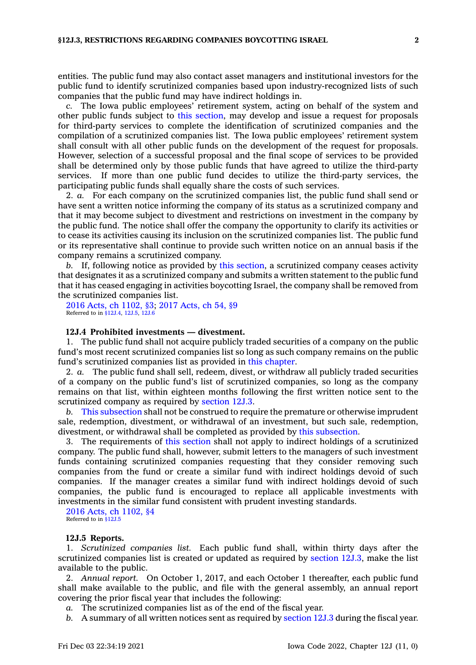entities. The public fund may also contact asset managers and institutional investors for the public fund to identify scrutinized companies based upon industry-recognized lists of such companies that the public fund may have indirect holdings in.

*c.* The Iowa public employees' retirement system, acting on behalf of the system and other public funds subject to this [section](https://www.legis.iowa.gov/docs/code/12J.3.pdf), may develop and issue <sup>a</sup> request for proposals for third-party services to complete the identification of scrutinized companies and the compilation of <sup>a</sup> scrutinized companies list. The Iowa public employees' retirement system shall consult with all other public funds on the development of the request for proposals. However, selection of <sup>a</sup> successful proposal and the final scope of services to be provided shall be determined only by those public funds that have agreed to utilize the third-party services. If more than one public fund decides to utilize the third-party services, the participating public funds shall equally share the costs of such services.

2. *a.* For each company on the scrutinized companies list, the public fund shall send or have sent <sup>a</sup> written notice informing the company of its status as <sup>a</sup> scrutinized company and that it may become subject to divestment and restrictions on investment in the company by the public fund. The notice shall offer the company the opportunity to clarify its activities or to cease its activities causing its inclusion on the scrutinized companies list. The public fund or its representative shall continue to provide such written notice on an annual basis if the company remains <sup>a</sup> scrutinized company.

*b.* If, following notice as provided by this [section](https://www.legis.iowa.gov/docs/code/12J.3.pdf), <sup>a</sup> scrutinized company ceases activity that designates it as <sup>a</sup> scrutinized company and submits <sup>a</sup> written statement to the public fund that it has ceased engaging in activities boycotting Israel, the company shall be removed from the scrutinized companies list.

<sup>2016</sup> Acts, ch [1102,](https://www.legis.iowa.gov/docs/acts/2016/CH1102.pdf) §3; <sup>2017</sup> [Acts,](https://www.legis.iowa.gov/docs/acts/2017/CH0054.pdf) ch 54, §9 Referred to in [§12J.4](https://www.legis.iowa.gov/docs/code/12J.4.pdf), [12J.5](https://www.legis.iowa.gov/docs/code/12J.5.pdf), [12J.6](https://www.legis.iowa.gov/docs/code/12J.6.pdf)

#### **12J.4 Prohibited investments — divestment.**

1. The public fund shall not acquire publicly traded securities of <sup>a</sup> company on the public fund's most recent scrutinized companies list so long as such company remains on the public fund's scrutinized companies list as provided in this [chapter](https://www.legis.iowa.gov/docs/code//12J.pdf).

2. *a.* The public fund shall sell, redeem, divest, or withdraw all publicly traded securities of <sup>a</sup> company on the public fund's list of scrutinized companies, so long as the company remains on that list, within eighteen months following the first written notice sent to the scrutinized company as required by [section](https://www.legis.iowa.gov/docs/code/12J.3.pdf) 12J.3.

*b.* This [subsection](https://www.legis.iowa.gov/docs/code/12J.4.pdf) shall not be construed to require the premature or otherwise imprudent sale, redemption, divestment, or withdrawal of an investment, but such sale, redemption, divestment, or withdrawal shall be completed as provided by this [subsection](https://www.legis.iowa.gov/docs/code/12J.4.pdf).

3. The requirements of this [section](https://www.legis.iowa.gov/docs/code/12J.4.pdf) shall not apply to indirect holdings of <sup>a</sup> scrutinized company. The public fund shall, however, submit letters to the managers of such investment funds containing scrutinized companies requesting that they consider removing such companies from the fund or create <sup>a</sup> similar fund with indirect holdings devoid of such companies. If the manager creates <sup>a</sup> similar fund with indirect holdings devoid of such companies, the public fund is encouraged to replace all applicable investments with investments in the similar fund consistent with prudent investing standards.

<sup>2016</sup> Acts, ch [1102,](https://www.legis.iowa.gov/docs/acts/2016/CH1102.pdf) §4 Referred to in [§12J.5](https://www.legis.iowa.gov/docs/code/12J.5.pdf)

#### **12J.5 Reports.**

1. *Scrutinized companies list.* Each public fund shall, within thirty days after the scrutinized companies list is created or updated as required by [section](https://www.legis.iowa.gov/docs/code/12J.3.pdf) 12J.3, make the list available to the public.

2. *Annual report.* On October 1, 2017, and each October <sup>1</sup> thereafter, each public fund shall make available to the public, and file with the general assembly, an annual report covering the prior fiscal year that includes the following:

*a.* The scrutinized companies list as of the end of the fiscal year.

*b.* <sup>A</sup> summary of all written notices sent as required by [section](https://www.legis.iowa.gov/docs/code/12J.3.pdf) 12J.3 during the fiscal year.